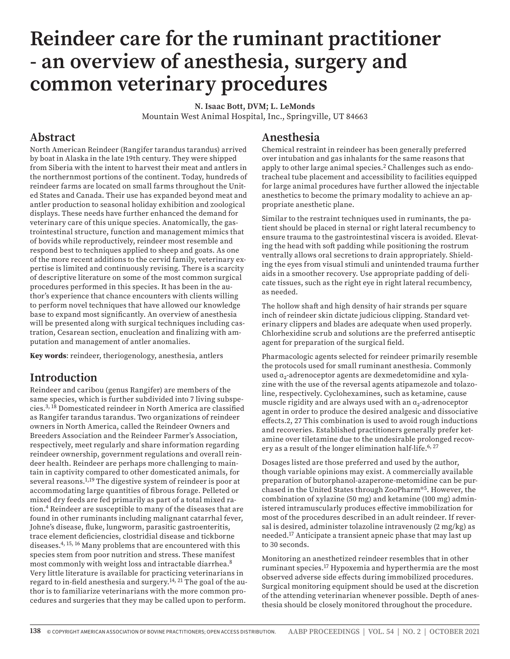# **Reindeer care for the ruminant practitioner - an overview of anesthesia, surgery and common veterinary procedures**

**N. Isaac Bott, DVM; L. LeMonds** Mountain West Animal Hospital, Inc., Springville, UT 84663

#### **Abstract**

North American Reindeer (Rangifer tarandus tarandus) arrived by boat in Alaska in the late 19th century. They were shipped from Siberia with the intent to harvest their meat and antlers in the northernmost portions of the continent. Today, hundreds of reindeer farms are located on small farms throughout the United States and Canada. Their use has expanded beyond meat and antler production to seasonal holiday exhibition and zoological displays. These needs have further enhanced the demand for veterinary care of this unique species. Anatomically, the gastrointestinal structure, function and management mimics that of bovids while reproductively, reindeer most resemble and respond best to techniques applied to sheep and goats. As one of the more recent additions to the cervid family, veterinary expertise is limited and continuously revising. There is a scarcity of descriptive literature on some of the most common surgical procedures performed in this species. It has been in the author's experience that chance encounters with clients willing to perform novel techniques that have allowed our knowledge base to expand most significantly. An overview of anesthesia will be presented along with surgical techniques including castration, Cesarean section, enucleation and finalizing with amputation and management of antler anomalies.

**Key words**: reindeer, theriogenology, anesthesia, antlers

# **Introduction**

Reindeer and caribou (genus Rangifer) are members of the same species, which is further subdivided into 7 living subspecies.3, 18 Domesticated reindeer in North America are classified as Rangifer tarandus tarandus. Two organizations of reindeer owners in North America, called the Reindeer Owners and Breeders Association and the Reindeer Farmer's Association, respectively, meet regularly and share information regarding reindeer ownership, government regulations and overall reindeer health. Reindeer are perhaps more challenging to maintain in captivity compared to other domesticated animals, for several reasons.<sup>1,19</sup> The digestive system of reindeer is poor at accommodating large quantities of fibrous forage. Pelleted or mixed dry feeds are fed primarily as part of a total mixed ration.4 Reindeer are susceptible to many of the diseases that are found in other ruminants including malignant catarrhal fever, Johne's disease, fluke, lungworm, parasitic gastroenteritis, trace element deficiencies, clostridial disease and tickborne diseases.4, 15, 16 Many problems that are encountered with this species stem from poor nutrition and stress. These manifest most commonly with weight loss and intractable diarrhea.8 Very little literature is available for practicing veterinarians in regard to in-field anesthesia and surgery.<sup>14, 21</sup> The goal of the author is to familiarize veterinarians with the more common procedures and surgeries that they may be called upon to perform.

#### **Anesthesia**

Chemical restraint in reindeer has been generally preferred over intubation and gas inhalants for the same reasons that apply to other large animal species.<sup>2</sup> Challenges such as endotracheal tube placement and accessibility to facilities equipped for large animal procedures have further allowed the injectable anesthetics to become the primary modality to achieve an appropriate anesthetic plane.

Similar to the restraint techniques used in ruminants, the patient should be placed in sternal or right lateral recumbency to ensure trauma to the gastrointestinal viscera is avoided. Elevating the head with soft padding while positioning the rostrum ventrally allows oral secretions to drain appropriately. Shielding the eyes from visual stimuli and unintended trauma further aids in a smoother recovery. Use appropriate padding of delicate tissues, such as the right eye in right lateral recumbency, as needed.

The hollow shaft and high density of hair strands per square inch of reindeer skin dictate judicious clipping. Standard veterinary clippers and blades are adequate when used properly. Chlorhexidine scrub and solutions are the preferred antiseptic agent for preparation of the surgical field.

Pharmacologic agents selected for reindeer primarily resemble the protocols used for small ruminant anesthesia. Commonly used α<sub>2</sub>-adrenoceptor agents are dexmedetomidine and xylazine with the use of the reversal agents atipamezole and tolazoline, respectively. Cyclohexamines, such as ketamine, cause muscle rigidity and are always used with an α₂-adrenoceptor agent in order to produce the desired analgesic and dissociative effects.2, 27 This combination is used to avoid rough inductions and recoveries. Established practitioners generally prefer ketamine over tiletamine due to the undesirable prolonged recovery as a result of the longer elimination half-life.<sup>6, 27</sup>

Dosages listed are those preferred and used by the author, though variable opinions may exist. A commercially available preparation of butorphanol-azaperone-metomidine can be purchased in the United States through ZooPharm®5. However, the combination of xylazine (50 mg) and ketamine (100 mg) administered intramuscularly produces effective immobilization for most of the procedures described in an adult reindeer. If reversal is desired, administer tolazoline intravenously (2 mg/kg) as needed.17 Anticipate a transient apneic phase that may last up to 30 seconds.

Monitoring an anesthetized reindeer resembles that in other ruminant species.17 Hypoxemia and hyperthermia are the most observed adverse side effects during immobilized procedures. Surgical monitoring equipment should be used at the discretion of the attending veterinarian whenever possible. Depth of anesthesia should be closely monitored throughout the procedure.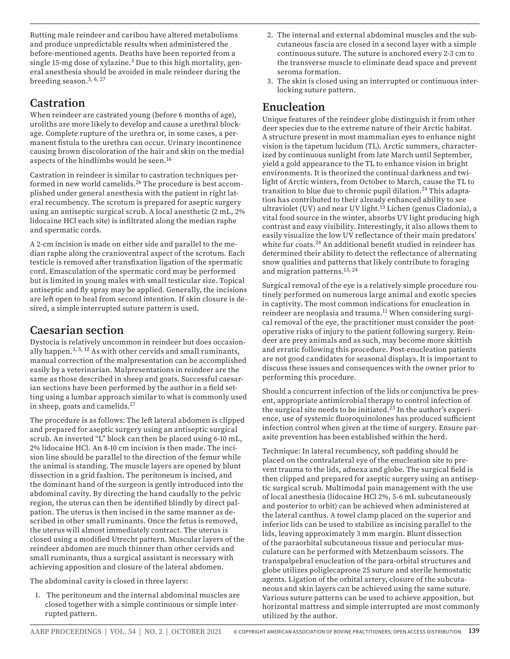Rutting male reindeer and caribou have altered metabolisms and produce unpredictable results when administered the before-mentioned agents. Deaths have been reported from a single 15-mg dose of xylazine.3 Due to this high mortality, general anesthesia should be avoided in male reindeer during the breeding season.3, 6, 27

## **Castration**

When reindeer are castrated young (before 6 months of age), uroliths are more likely to develop and cause a urethral blockage. Complete rupture of the urethra or, in some cases, a permanent fistula to the urethra can occur. Urinary incontinence causing brown discoloration of the hair and skin on the medial aspects of the hindlimbs would be seen.16

Castration in reindeer is similar to castration techniques performed in new world camelids.26 The procedure is best accomplished under general anesthesia with the patient in right lateral recumbency. The scrotum is prepared for aseptic surgery using an antiseptic surgical scrub. A local anesthetic (2 mL, 2% lidocaine HCl each site) is infiltrated along the median raphe and spermatic cords.

A 2-cm incision is made on either side and parallel to the median raphe along the cranioventral aspect of the scrotum. Each testicle is removed after transfixation ligation of the spermatic cord. Emasculation of the spermatic cord may be performed but is limited in young males with small testicular size. Topical antiseptic and fly spray may be applied. Generally, the incisions are left open to heal from second intention. If skin closure is desired, a simple interrupted suture pattern is used.

# **Caesarian section**

Dystocia is relatively uncommon in reindeer but does occasionally happen.<sup>3, 5, 12</sup> As with other cervids and small ruminants, manual correction of the malpresentation can be accomplished easily by a veterinarian. Malpresentations in reindeer are the same as those described in sheep and goats. Successful caesarian sections have been performed by the author in a field setting using a lumbar approach similar to what is commonly used in sheep, goats and camelids.27

The procedure is as follows: The left lateral abdomen is clipped and prepared for aseptic surgery using an antiseptic surgical scrub. An inverted "L" block can then be placed using 6-10 mL, 2% lidocaine HCl. An 8-10 cm incision is then made. The incision line should be parallel to the direction of the femur while the animal is standing. The muscle layers are opened by blunt dissection in a grid fashion. The peritoneum is incised, and the dominant hand of the surgeon is gently introduced into the abdominal cavity. By directing the hand caudally to the pelvic region, the uterus can then be identified blindly by direct palpation. The uterus is then incised in the same manner as described in other small ruminants. Once the fetus is removed, the uterus will almost immediately contract. The uterus is closed using a modified Utrecht pattern. Muscular layers of the reindeer abdomen are much thinner than other cervids and small ruminants, thus a surgical assistant is necessary with achieving apposition and closure of the lateral abdomen.

The abdominal cavity is closed in three layers:

1. The peritoneum and the internal abdominal muscles are closed together with a simple continuous or simple interrupted pattern.

- 2. The internal and external abdominal muscles and the subcutaneous fascia are closed in a second layer with a simple continuous suture. The suture is anchored every 2-3 cm to the transverse muscle to eliminate dead space and prevent seroma formation.
- 3. The skin is closed using an interrupted or continuous interlocking suture pattern.

# **Enucleation**

Unique features of the reindeer globe distinguish it from other deer species due to the extreme nature of their Arctic habitat. A structure present in most mammalian eyes to enhance night vision is the tapetum lucidum (TL). Arctic summers, characterized by continuous sunlight from late March until September, yield a gold appearance to the TL to enhance vision in bright environments. It is theorized the continual darkness and twilight of Arctic winters, from October to March, cause the TL to transition to blue due to chronic pupil dilation.<sup>24</sup> This adaptation has contributed to their already enhanced ability to see ultraviolet (UV) and near UV light.<sup>13</sup> Lichen (genus Cladonia), a vital food source in the winter, absorbs UV light producing high contrast and easy visibility. Interestingly, it also allows them to easily visualize the low UV reflectance of their main predators' white fur coats.<sup>24</sup> An additional benefit studied in reindeer has determined their ability to detect the reflectance of alternating snow qualities and patterns that likely contribute to foraging and migration patterns.13, 24

Surgical removal of the eye is a relatively simple procedure routinely performed on numerous large animal and exotic species in captivity. The most common indications for enucleation in reindeer are neoplasia and trauma.<sup>11</sup> When considering surgical removal of the eye, the practitioner must consider the postoperative risks of injury to the patient following surgery. Reindeer are prey animals and as such, may become more skittish and erratic following this procedure. Post-enucleation patients are not good candidates for seasonal displays. It is important to discuss these issues and consequences with the owner prior to performing this procedure.

Should a concurrent infection of the lids or conjunctiva be present, appropriate antimicrobial therapy to control infection of the surgical site needs to be initiated.<sup>23</sup> In the author's experience, use of systemic fluoroquinolones has produced sufficient infection control when given at the time of surgery. Ensure parasite prevention has been established within the herd.

Technique: In lateral recumbency, soft padding should be placed on the contralateral eye of the enucleation site to prevent trauma to the lids, adnexa and globe. The surgical field is then clipped and prepared for aseptic surgery using an antiseptic surgical scrub. Multimodal pain management with the use of local anesthesia (lidocaine HCl 2%, 5-6 mL subcutaneously and posterior to orbit) can be achieved when administered at the lateral canthus. A towel clamp placed on the superior and inferior lids can be used to stabilize as incising parallel to the lids, leaving approximately 3 mm margin. Blunt dissection of the paraorbital subcutaneous tissue and periocular musculature can be performed with Metzenbaum scissors. The transpalpebral enucleation of the para-orbital structures and globe utilizes poliglecaprone 25 suture and sterile hemostatic agents. Ligation of the orbital artery, closure of the subcutaneous and skin layers can be achieved using the same suture. Various suture patterns can be used to achieve apposition, but horizontal mattress and simple interrupted are most commonly utilized by the author.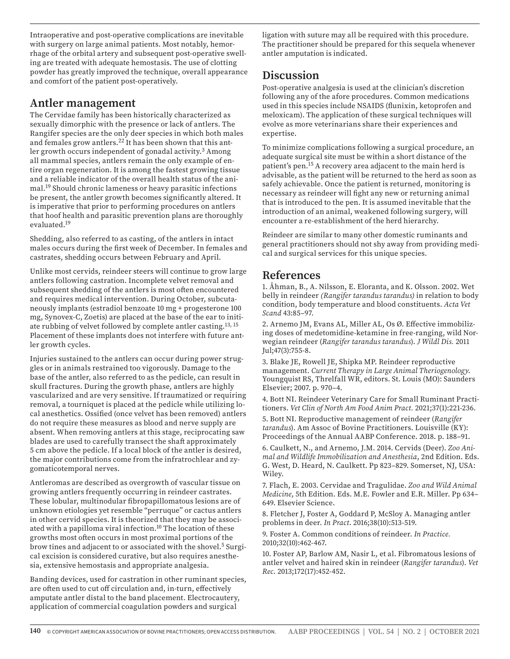Intraoperative and post-operative complications are inevitable with surgery on large animal patients. Most notably, hemorrhage of the orbital artery and subsequent post-operative swelling are treated with adequate hemostasis. The use of clotting powder has greatly improved the technique, overall appearance and comfort of the patient post-operatively.

#### **Antler management**

The Cervidae family has been historically characterized as sexually dimorphic with the presence or lack of antlers. The Rangifer species are the only deer species in which both males and females grow antlers.<sup>22</sup> It has been shown that this antler growth occurs independent of gonadal activity.<sup>3</sup> Among all mammal species, antlers remain the only example of entire organ regeneration. It is among the fastest growing tissue and a reliable indicator of the overall health status of the animal.19 Should chronic lameness or heavy parasitic infections be present, the antler growth becomes significantly altered. It is imperative that prior to performing procedures on antlers that hoof health and parasitic prevention plans are thoroughly evaluated.19

Shedding, also referred to as casting, of the antlers in intact males occurs during the first week of December. In females and castrates, shedding occurs between February and April.

Unlike most cervids, reindeer steers will continue to grow large antlers following castration. Incomplete velvet removal and subsequent shedding of the antlers is most often encountered and requires medical intervention. During October, subcutaneously implants (estradiol benzoate 10 mg + progesterone 100 mg, Synovex-C, Zoetis) are placed at the base of the ear to initiate rubbing of velvet followed by complete antler casting.13, 15 Placement of these implants does not interfere with future antler growth cycles.

Injuries sustained to the antlers can occur during power struggles or in animals restrained too vigorously. Damage to the base of the antler, also referred to as the pedicle, can result in skull fractures. During the growth phase, antlers are highly vascularized and are very sensitive. If traumatized or requiring removal, a tourniquet is placed at the pedicle while utilizing local anesthetics. Ossified (once velvet has been removed) antlers do not require these measures as blood and nerve supply are absent. When removing antlers at this stage, reciprocating saw blades are used to carefully transect the shaft approximately 5 cm above the pedicle. If a local block of the antler is desired, the major contributions come from the infratrochlear and zygomaticotemporal nerves.

Antleromas are described as overgrowth of vascular tissue on growing antlers frequently occurring in reindeer castrates. These lobular, multinodular fibropapillomatous lesions are of unknown etiologies yet resemble "perruque" or cactus antlers in other cervid species. It is theorized that they may be associated with a papilloma viral infection.<sup>10</sup> The location of these growths most often occurs in most proximal portions of the brow tines and adjacent to or associated with the shovel.5 Surgical excision is considered curative, but also requires anesthesia, extensive hemostasis and appropriate analgesia.

Banding devices, used for castration in other ruminant species, are often used to cut off circulation and, in-turn, effectively amputate antler distal to the band placement. Electrocautery, application of commercial coagulation powders and surgical

ligation with suture may all be required with this procedure. The practitioner should be prepared for this sequela whenever antler amputation is indicated.

### **Discussion**

Post-operative analgesia is used at the clinician's discretion following any of the afore procedures. Common medications used in this species include NSAIDS (flunixin, ketoprofen and meloxicam). The application of these surgical techniques will evolve as more veterinarians share their experiences and expertise.

To minimize complications following a surgical procedure, an adequate surgical site must be within a short distance of the patient's pen.15 A recovery area adjacent to the main herd is advisable, as the patient will be returned to the herd as soon as safely achievable. Once the patient is returned, monitoring is necessary as reindeer will fight any new or returning animal that is introduced to the pen. It is assumed inevitable that the introduction of an animal, weakened following surgery, will encounter a re-establishment of the herd hierarchy.

Reindeer are similar to many other domestic ruminants and general practitioners should not shy away from providing medical and surgical services for this unique species.

# **References**

1. Åhman, B., A. Nilsson, E. Eloranta, and K. Olsson. 2002. Wet belly in reindeer *(Rangifer tarandus tarandus)* in relation to body condition, body temperature and blood constituents. *Acta Vet Scand* 43:85–97.

2. Arnemo JM, Evans AL, Miller AL, Os Ø. Effective immobilizing doses of medetomidine-ketamine in free-ranging, wild Norwegian reindeer (*Rangifer tarandus tarandus*). *J Wildl Dis.* 2011 Jul;47(3):755-8.

3. Blake JE, Rowell JE, Shipka MP. Reindeer reproductive management. *Current Therapy in Large Animal Theriogenology*. Youngquist RS, Threlfall WR, editors. St. Louis (MO): Saunders Elsevier; 2007. p. 970–4.

4. Bott NI. Reindeer Veterinary Care for Small Ruminant Practitioners. *Vet Clin of North Am Food Anim Pract.* 2021;37(1):221-236.

5. Bott NI. Reproductive management of reindeer (*Rangifer tarandus*). Am Assoc of Bovine Practitioners. Louisville (KY): Proceedings of the Annual AABP Conference. 2018. p. 188–91.

6. Caulkett, N., and Arnemo, J.M. 2014. Cervids (Deer). *Zoo Animal and Wildlife Immobilization and Anesthesia*, 2nd Edition. Eds. G. West, D. Heard, N. Caulkett. Pp 823–829. Somerset, NJ, USA: Wiley.

7. Flach, E. 2003. Cervidae and Tragulidae. *Zoo and Wild Animal Medicine*, 5th Edition. Eds. M.E. Fowler and E.R. Miller. Pp 634– 649. Elsevier Science.

8. Fletcher J, Foster A, Goddard P, McSloy A. Managing antler problems in deer. *In Pract*. 2016;38(10):513-519.

9. Foster A. Common conditions of reindeer. *In Practice.* 2010;32(10):462-467.

10. Foster AP, Barlow AM, Nasir L, et al. Fibromatous lesions of antler velvet and haired skin in reindeer (*Rangifer tarandus*). *Vet Rec*. 2013;172(17):452-452.